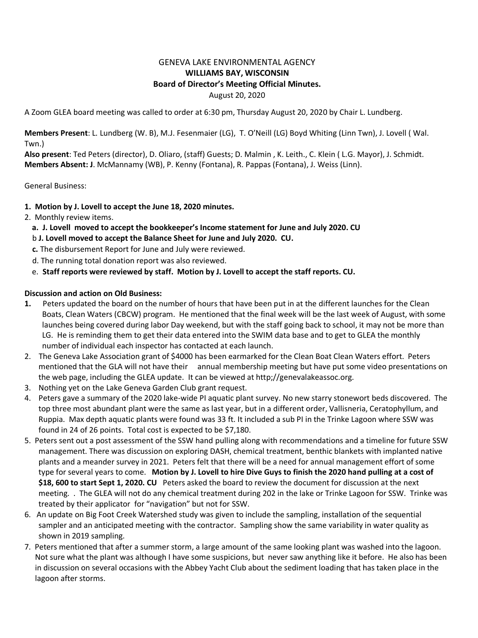## GENEVA LAKE ENVIRONMENTAL AGENCY **WILLIAMS BAY, WISCONSIN Board of Director's Meeting Official Minutes.** August 20, 2020

A Zoom GLEA board meeting was called to order at 6:30 pm, Thursday August 20, 2020 by Chair L. Lundberg.

**Members Present**: L. Lundberg (W. B), M.J. Fesenmaier (LG), T. O'Neill (LG) Boyd Whiting (Linn Twn), J. Lovell ( Wal. Twn.)

**Also present**: Ted Peters (director), D. Oliaro, (staff) Guests; D. Malmin , K. Leith., C. Klein ( L.G. Mayor), J. Schmidt. **Members Absent: J**. McMannamy (WB), P. Kenny (Fontana), R. Pappas (Fontana), J. Weiss (Linn).

General Business:

## **1. Motion by J. Lovell to accept the June 18, 2020 minutes.**

- 2. Monthly review items.
	- **a. J. Lovell moved to accept the bookkeeper's Income statement for June and July 2020. CU**
	- b **J. Lovell moved to accept the Balance Sheet for June and July 2020. CU.**
	- **c.** The disbursement Report for June and July were reviewed.
	- d. The running total donation report was also reviewed.
	- e. **Staff reports were reviewed by staff. Motion by J. Lovell to accept the staff reports. CU.**

## **Discussion and action on Old Business:**

- **1.** Peters updated the board on the number of hours that have been put in at the different launches for the Clean Boats, Clean Waters (CBCW) program. He mentioned that the final week will be the last week of August, with some launches being covered during labor Day weekend, but with the staff going back to school, it may not be more than LG. He is reminding them to get their data entered into the SWIM data base and to get to GLEA the monthly number of individual each inspector has contacted at each launch.
- 2. The Geneva Lake Association grant of \$4000 has been earmarked for the Clean Boat Clean Waters effort. Peters mentioned that the GLA will not have their annual membership meeting but have put some video presentations on the web page, including the GLEA update. It can be viewed at http;//genevalakeassoc.org.
- 3. Nothing yet on the Lake Geneva Garden Club grant request.
- 4.Peters gave a summary of the 2020 lake-wide PI aquatic plant survey. No new starry stonewort beds discovered. The top three most abundant plant were the same as last year, but in a different order, Vallisneria, Ceratophyllum, and Ruppia. Max depth aquatic plants were found was 33 ft. It included a sub PI in the Trinke Lagoon where SSW was found in 24 of 26 points. Total cost is expected to be \$7,180.
- 5. Peters sent out a post assessment of the SSW hand pulling along with recommendations and a timeline for future SSW management. There was discussion on exploring DASH, chemical treatment, benthic blankets with implanted native plants and a meander survey in 2021. Peters felt that there will be a need for annual management effort of some type for several years to come. **Motion by J. Lovell to hire Dive Guys to finish the 2020 hand pulling at a cost of \$18, 600 to start Sept 1, 2020. CU** Peters asked the board to review the document for discussion at the next meeting. . The GLEA will not do any chemical treatment during 202 in the lake or Trinke Lagoon for SSW. Trinke was treated by their applicator for "navigation" but not for SSW.
- 6. An update on Big Foot Creek Watershed study was given to include the sampling, installation of the sequential sampler and an anticipated meeting with the contractor. Sampling show the same variability in water quality as shown in 2019 sampling.
- 7. Peters mentioned that after a summer storm, a large amount of the same looking plant was washed into the lagoon. Not sure what the plant was although I have some suspicions, but never saw anything like it before. He also has been in discussion on several occasions with the Abbey Yacht Club about the sediment loading that has taken place in the lagoon after storms.